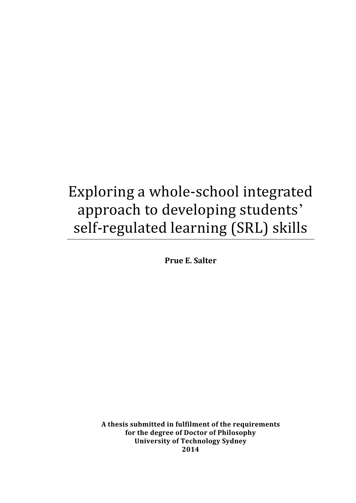# Exploring a whole-school integrated approach to developing students' self-regulated learning (SRL) skills

**Prue E. Salter**

**A thesis submitted in fulfilment of the requirements for the degree of Doctor of Philosophy University of Technology Sydney 2014**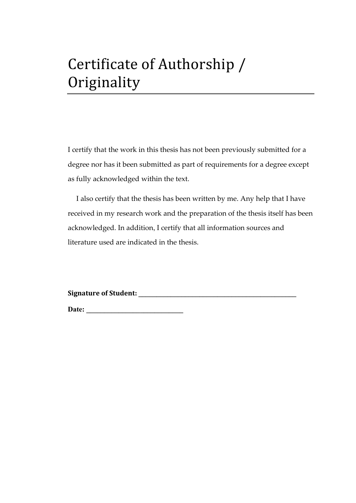# Certificate of Authorship / **Originality**

I certify that the work in this thesis has not been previously submitted for a degree nor has it been submitted as part of requirements for a degree except as fully acknowledged within the text.

I also certify that the thesis has been written by me. Any help that I have received in my research work and the preparation of the thesis itself has been acknowledged. In addition, I certify that all information sources and literature used are indicated in the thesis.

**Signature of Student: \_\_\_\_\_\_\_\_\_\_\_\_\_\_\_\_\_\_\_\_\_\_\_\_\_\_\_\_\_\_\_\_\_\_\_\_\_\_\_\_\_\_\_\_**

**Date: \_\_\_\_\_\_\_\_\_\_\_\_\_\_\_\_\_\_\_\_\_\_\_\_\_\_\_**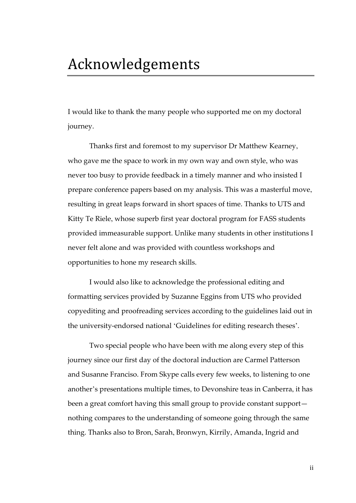#### Acknowledgements

I would like to thank the many people who supported me on my doctoral journey.

Thanks first and foremost to my supervisor Dr Matthew Kearney, who gave me the space to work in my own way and own style, who was never too busy to provide feedback in a timely manner and who insisted I prepare conference papers based on my analysis. This was a masterful move, resulting in great leaps forward in short spaces of time. Thanks to UTS and Kitty Te Riele, whose superb first year doctoral program for FASS students provided immeasurable support. Unlike many students in other institutions I never felt alone and was provided with countless workshops and opportunities to hone my research skills.

I would also like to acknowledge the professional editing and formatting services provided by Suzanne Eggins from UTS who provided copyediting and proofreading services according to the guidelines laid out in the university-endorsed national 'Guidelines for editing research theses'.

Two special people who have been with me along every step of this journey since our first day of the doctoral induction are Carmel Patterson and Susanne Franciso. From Skype calls every few weeks, to listening to one another's presentations multiple times, to Devonshire teas in Canberra, it has been a great comfort having this small group to provide constant support nothing compares to the understanding of someone going through the same thing. Thanks also to Bron, Sarah, Bronwyn, Kirrily, Amanda, Ingrid and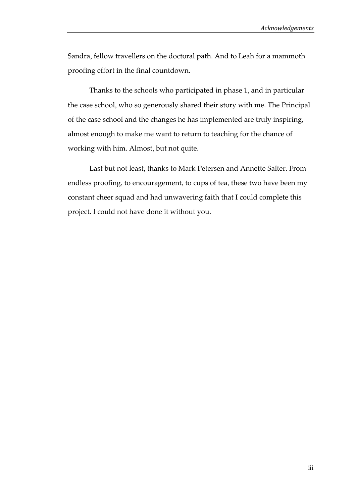Sandra, fellow travellers on the doctoral path. And to Leah for a mammoth proofing effort in the final countdown.

Thanks to the schools who participated in phase 1, and in particular the case school, who so generously shared their story with me. The Principal of the case school and the changes he has implemented are truly inspiring, almost enough to make me want to return to teaching for the chance of working with him. Almost, but not quite.

Last but not least, thanks to Mark Petersen and Annette Salter. From endless proofing, to encouragement, to cups of tea, these two have been my constant cheer squad and had unwavering faith that I could complete this project. I could not have done it without you.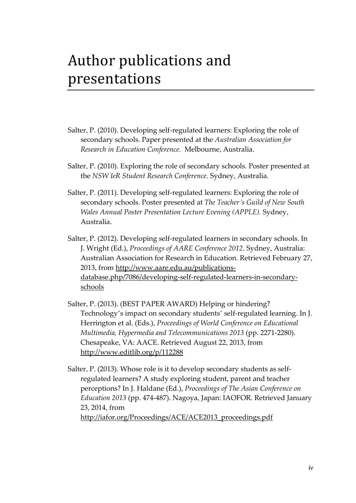# Author publications and presentations

- Salter, P. (2010). Developing self-regulated learners: Exploring the role of secondary schools. Paper presented at the *Australian Association for Research in Education Conference.* Melbourne, Australia.
- Salter, P. (2010). Exploring the role of secondary schools. Poster presented at the *NSW IeR Student Research Conference*. Sydney, Australia.
- Salter, P. (2011). Developing self-regulated learners: Exploring the role of secondary schools. Poster presented at *The Teacher's Guild of New South Wales Annual Poster Presentation Lecture Evening (APPLE).* Sydney, Australia.
- Salter, P. (2012). Developing self-regulated learners in secondary schools. In J. Wright (Ed.), *Proceedings of AARE Conference 2012*. Sydney, Australia: Australian Association for Research in Education. Retrieved February 27, 2013, from http://www.aare.edu.au/publicationsdatabase.php/7086/developing-self-regulated-learners-in-secondaryschools
- Salter, P. (2013). (BEST PAPER AWARD) Helping or hindering? Technology's impact on secondary students' self-regulated learning. In J. Herrington et al. (Eds.), *Proceedings of World Conference on Educational Multimedia, Hypermedia and Telecommunications 2013* (pp. 2271-2280). Chesapeake, VA: AACE. Retrieved August 22, 2013, from http://www.editlib.org/p/112288

Salter, P. (2013). Whose role is it to develop secondary students as selfregulated learners? A study exploring student, parent and teacher perceptions? In J. Haldane (Ed.), *Proceedings of The Asian Conference on Education 2013* (pp. 474-487). Nagoya, Japan: IAOFOR. Retrieved January 23, 2014, from http://iafor.org/Proceedings/ACE/ACE2013\_proceedings.pdf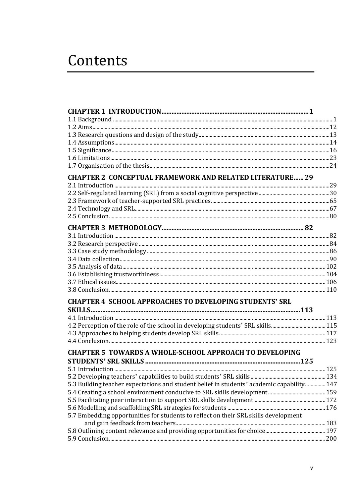# Contents

| <b>CHAPTER 2 CONCEPTUAL FRAMEWORK AND RELATED LITERATURE 29</b>                           |  |
|-------------------------------------------------------------------------------------------|--|
|                                                                                           |  |
|                                                                                           |  |
|                                                                                           |  |
|                                                                                           |  |
|                                                                                           |  |
|                                                                                           |  |
|                                                                                           |  |
|                                                                                           |  |
|                                                                                           |  |
|                                                                                           |  |
|                                                                                           |  |
|                                                                                           |  |
|                                                                                           |  |
|                                                                                           |  |
| <b>CHAPTER 4 SCHOOL APPROACHES TO DEVELOPING STUDENTS' SRL</b>                            |  |
|                                                                                           |  |
|                                                                                           |  |
|                                                                                           |  |
|                                                                                           |  |
| <b>CHAPTER 5 TOWARDS A WHOLE-SCHOOL APPROACH TO DEVELOPING</b>                            |  |
|                                                                                           |  |
|                                                                                           |  |
|                                                                                           |  |
| 5.3 Building teacher expectations and student belief in students' academic capability 147 |  |
|                                                                                           |  |
|                                                                                           |  |
|                                                                                           |  |
| 5.7 Embedding opportunities for students to reflect on their SRL skills development       |  |
|                                                                                           |  |
|                                                                                           |  |
|                                                                                           |  |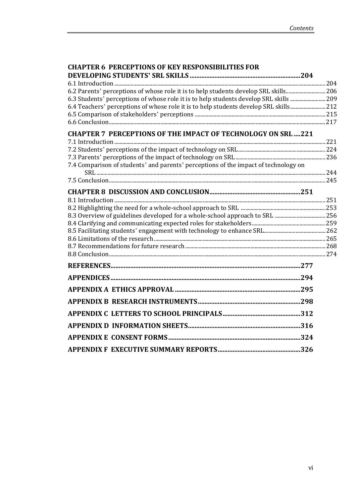| <b>CHAPTER 6 PERCEPTIONS OF KEY RESPONSIBILITIES FOR</b>                                                                                                                      |  |
|-------------------------------------------------------------------------------------------------------------------------------------------------------------------------------|--|
|                                                                                                                                                                               |  |
|                                                                                                                                                                               |  |
| 6.2 Parents' perceptions of whose role it is to help students develop SRL skills 206                                                                                          |  |
| 6.3 Students' perceptions of whose role it is to help students develop SRL skills 209<br>6.4 Teachers' perceptions of whose role it is to help students develop SRL skills212 |  |
|                                                                                                                                                                               |  |
|                                                                                                                                                                               |  |
|                                                                                                                                                                               |  |
| <b>CHAPTER 7 PERCEPTIONS OF THE IMPACT OF TECHNOLOGY ON SRL 221</b>                                                                                                           |  |
|                                                                                                                                                                               |  |
|                                                                                                                                                                               |  |
| 7.4 Comparison of students' and parents' perceptions of the impact of technology on                                                                                           |  |
|                                                                                                                                                                               |  |
|                                                                                                                                                                               |  |
|                                                                                                                                                                               |  |
|                                                                                                                                                                               |  |
|                                                                                                                                                                               |  |
|                                                                                                                                                                               |  |
|                                                                                                                                                                               |  |
|                                                                                                                                                                               |  |
|                                                                                                                                                                               |  |
|                                                                                                                                                                               |  |
|                                                                                                                                                                               |  |
|                                                                                                                                                                               |  |
|                                                                                                                                                                               |  |
|                                                                                                                                                                               |  |
|                                                                                                                                                                               |  |
|                                                                                                                                                                               |  |
|                                                                                                                                                                               |  |
|                                                                                                                                                                               |  |
|                                                                                                                                                                               |  |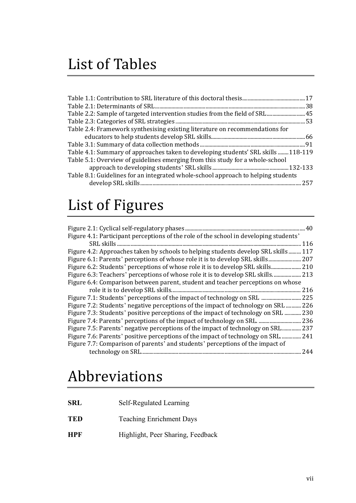## List of Tables

| Table 2.2: Sample of targeted intervention studies from the field of SRL  45      |  |
|-----------------------------------------------------------------------------------|--|
|                                                                                   |  |
| Table 2.4: Framework synthesising existing literature on recommendations for      |  |
|                                                                                   |  |
|                                                                                   |  |
| Table 4.1: Summary of approaches taken to developing students' SRL skills 118-119 |  |
| Table 5.1: Overview of guidelines emerging from this study for a whole-school     |  |
|                                                                                   |  |
| Table 8.1: Guidelines for an integrated whole-school approach to helping students |  |
|                                                                                   |  |
|                                                                                   |  |

## List of Figures

| 40                                                                                    |
|---------------------------------------------------------------------------------------|
| Figure 4.1: Participant perceptions of the role of the school in developing students' |
| 116                                                                                   |
| Figure 4.2: Approaches taken by schools to helping students develop SRL skills 117    |
| Figure 6.1: Parents' perceptions of whose role it is to develop SRL skills<br>.207    |
|                                                                                       |
| Figure 6.3: Teachers' perceptions of whose role it is to develop SRL skills 213       |
| Figure 6.4: Comparison between parent, student and teacher perceptions on whose       |
| 216                                                                                   |
| Figure 7.1: Students' perceptions of the impact of technology on SRL<br>225           |
| Figure 7.2: Students' negative perceptions of the impact of technology on SRL<br>226  |
| Figure 7.3: Students' positive perceptions of the impact of technology on SRL<br>230  |
| 236                                                                                   |
| Figure 7.5: Parents' negative perceptions of the impact of technology on SRL<br>237   |
| Figure 7.6: Parents' positive perceptions of the impact of technology on SRL<br>241   |
| Figure 7.7: Comparison of parents' and students' perceptions of the impact of         |
| 244                                                                                   |

## Abbreviations

| SRL        | Self-Regulated Learning           |
|------------|-----------------------------------|
| <b>TED</b> | <b>Teaching Enrichment Days</b>   |
| <b>HPF</b> | Highlight, Peer Sharing, Feedback |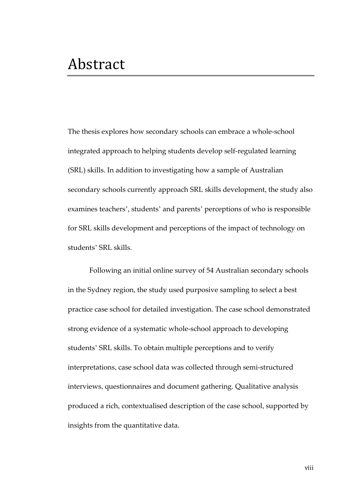The thesis explores how secondary schools can embrace a whole-school integrated approach to helping students develop self-regulated learning (SRL) skills. In addition to investigating how a sample of Australian secondary schools currently approach SRL skills development, the study also examines teachers', students' and parents' perceptions of who is responsible for SRL skills development and perceptions of the impact of technology on students' SRL skills.

Following an initial online survey of 54 Australian secondary schools in the Sydney region, the study used purposive sampling to select a best practice case school for detailed investigation. The case school demonstrated strong evidence of a systematic whole-school approach to developing students' SRL skills. To obtain multiple perceptions and to verify interpretations, case school data was collected through semi-structured interviews, questionnaires and document gathering. Qualitative analysis produced a rich, contextualised description of the case school, supported by insights from the quantitative data.